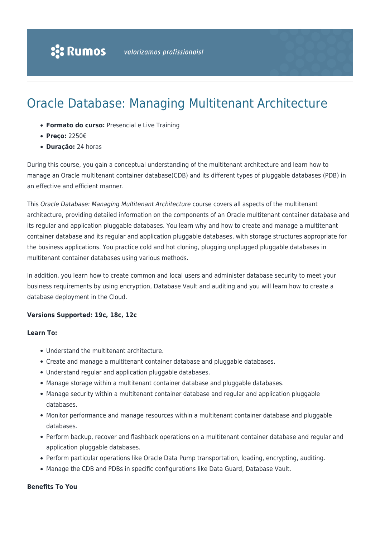# Oracle Database: Managing Multitenant Architecture

- **Formato do curso:** Presencial e Live Training
- **Preço:** 2250€
- **Duração:** 24 horas

During this course, you gain a conceptual understanding of the multitenant architecture and learn how to manage an Oracle multitenant container database(CDB) and its different types of pluggable databases (PDB) in an effective and efficient manner.

This Oracle Database: Managing Multitenant Architecture course covers all aspects of the multitenant architecture, providing detailed information on the components of an Oracle multitenant container database and its regular and application pluggable databases. You learn why and how to create and manage a multitenant container database and its regular and application pluggable databases, with storage structures appropriate for the business applications. You practice cold and hot cloning, plugging unplugged pluggable databases in multitenant container databases using various methods.

In addition, you learn how to create common and local users and administer database security to meet your business requirements by using encryption, Database Vault and auditing and you will learn how to create a database deployment in the Cloud.

#### **Versions Supported: 19c, 18c, 12c**

#### **Learn To:**

- Understand the multitenant architecture.
- Create and manage a multitenant container database and pluggable databases.
- Understand regular and application pluggable databases.
- Manage storage within a multitenant container database and pluggable databases.
- Manage security within a multitenant container database and regular and application pluggable databases.
- Monitor performance and manage resources within a multitenant container database and pluggable databases.
- Perform backup, recover and flashback operations on a multitenant container database and regular and application pluggable databases.
- Perform particular operations like Oracle Data Pump transportation, loading, encrypting, auditing.
- Manage the CDB and PDBs in specific configurations like Data Guard, Database Vault.

#### **Benefits To You**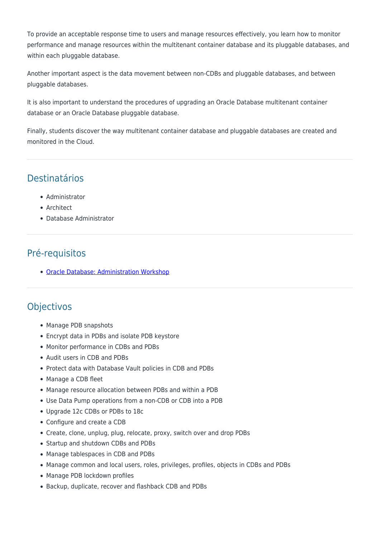To provide an acceptable response time to users and manage resources effectively, you learn how to monitor performance and manage resources within the multitenant container database and its pluggable databases, and within each pluggable database.

Another important aspect is the data movement between non-CDBs and pluggable databases, and between pluggable databases.

It is also important to understand the procedures of upgrading an Oracle Database multitenant container database or an Oracle Database pluggable database.

Finally, students discover the way multitenant container database and pluggable databases are created and monitored in the Cloud.

### Destinatários

- Administrator
- Architect
- Database Administrator

## Pré-requisitos

[Oracle Database: Administration Workshop](https://rumos.pt/curso/oracle-database-administration-workshop-presencial/)

#### **Objectivos**

- Manage PDB snapshots
- Encrypt data in PDBs and isolate PDB keystore
- Monitor performance in CDBs and PDBs
- Audit users in CDB and PDBs
- Protect data with Database Vault policies in CDB and PDBs
- Manage a CDB fleet
- Manage resource allocation between PDBs and within a PDB
- Use Data Pump operations from a non-CDB or CDB into a PDB
- Upgrade 12c CDBs or PDBs to 18c
- Configure and create a CDB
- Create, clone, unplug, plug, relocate, proxy, switch over and drop PDBs
- Startup and shutdown CDBs and PDBs
- Manage tablespaces in CDB and PDBs
- Manage common and local users, roles, privileges, profiles, objects in CDBs and PDBs
- Manage PDB lockdown profiles
- Backup, duplicate, recover and flashback CDB and PDBs